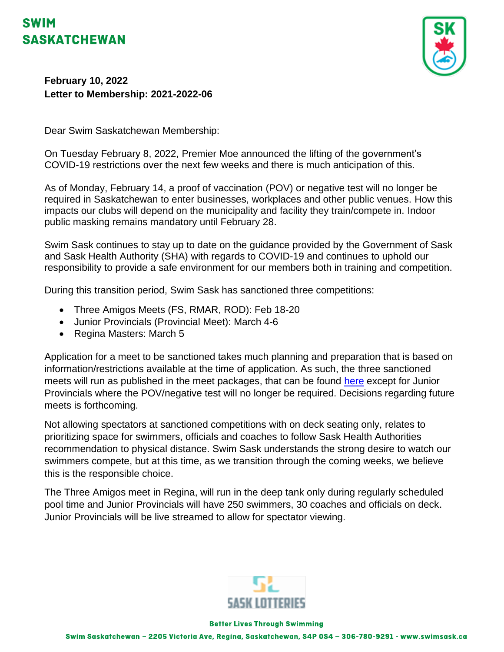## **SWIM SASKATCHEWAN**



**February 10, 2022 Letter to Membership: 2021-2022-06**

Dear Swim Saskatchewan Membership:

On Tuesday February 8, 2022, Premier Moe announced the lifting of the government's COVID-19 restrictions over the next few weeks and there is much anticipation of this.

As of Monday, February 14, a proof of vaccination (POV) or negative test will no longer be required in Saskatchewan to enter businesses, workplaces and other public venues. How this impacts our clubs will depend on the municipality and facility they train/compete in. Indoor public masking remains mandatory until February 28.

Swim Sask continues to stay up to date on the guidance provided by the Government of Sask and Sask Health Authority (SHA) with regards to COVID-19 and continues to uphold our responsibility to provide a safe environment for our members both in training and competition.

During this transition period, Swim Sask has sanctioned three competitions:

- Three Amigos Meets (FS, RMAR, ROD): Feb 18-20
- Junior Provincials (Provincial Meet): March 4-6
- Regina Masters: March 5

Application for a meet to be sanctioned takes much planning and preparation that is based on information/restrictions available at the time of application. As such, the three sanctioned meets will run as published in the meet packages, that can be found [here](https://www.swimming.ca/en/events-results/live-upcoming-meets/) except for Junior Provincials where the POV/negative test will no longer be required. Decisions regarding future meets is forthcoming.

Not allowing spectators at sanctioned competitions with on deck seating only, relates to prioritizing space for swimmers, officials and coaches to follow Sask Health Authorities recommendation to physical distance. Swim Sask understands the strong desire to watch our swimmers compete, but at this time, as we transition through the coming weeks, we believe this is the responsible choice.

The Three Amigos meet in Regina, will run in the deep tank only during regularly scheduled pool time and Junior Provincials will have 250 swimmers, 30 coaches and officials on deck. Junior Provincials will be live streamed to allow for spectator viewing.



## **Better Lives Through Swimming**

Swim Saskatchewan - 2205 Victoria Ave, Regina, Saskatchewan, S4P 0S4 - 306-780-9291 - www.swimsask.ca